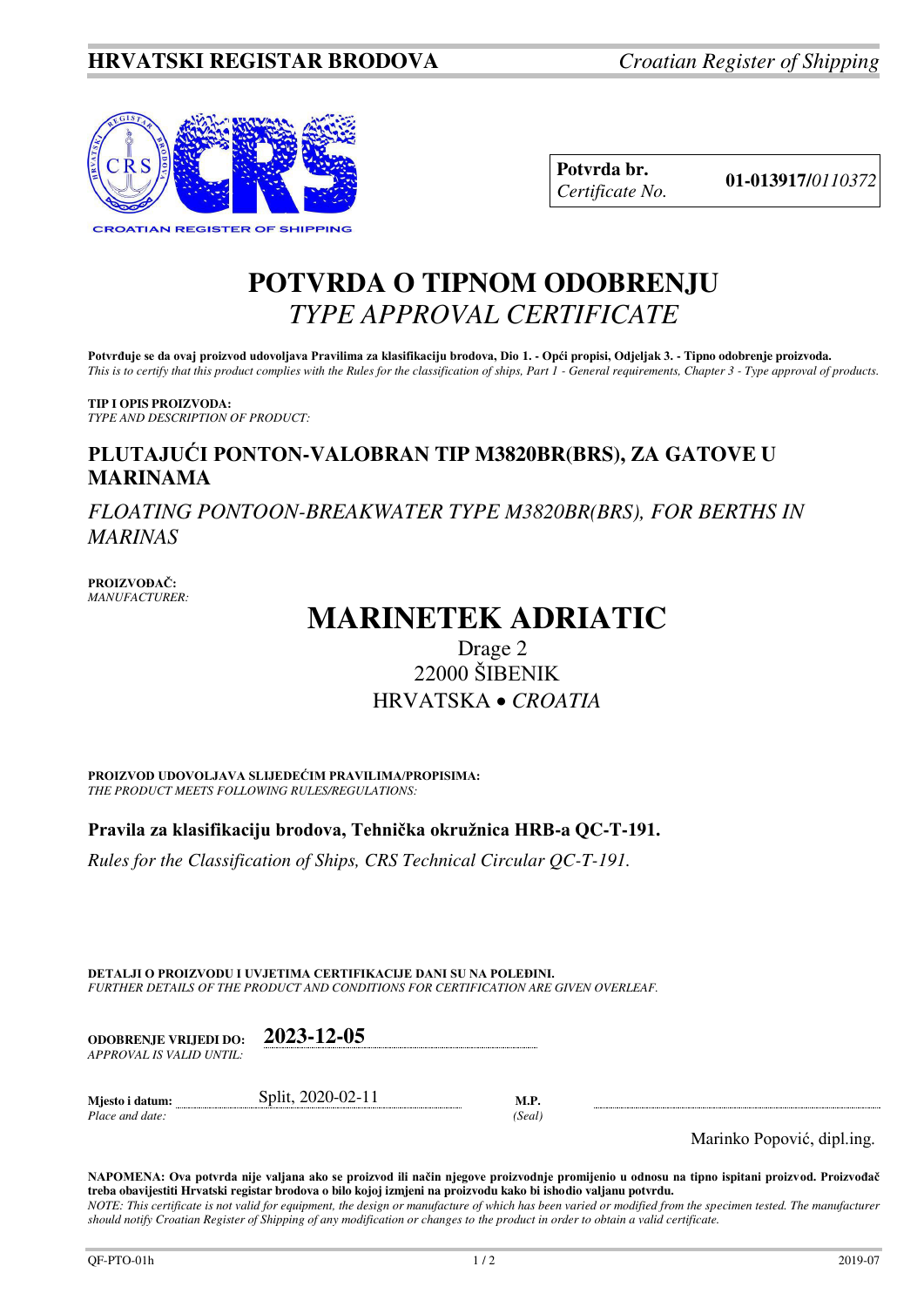

**Potvrda br. 01-013917/***<sup>0110372</sup> Certificate No.* 

## **POTVRDA O TIPNOM ODOBRENJU**  *TYPE APPROVAL CERTIFICATE*

**Potvrđuje se da ovaj proizvod udovoljava Pravilima za klasifikaciju brodova, Dio 1. - Opći propisi, Odjeljak 3. - Tipno odobrenje proizvoda.**  *This is to certify that this product complies with the Rules for the classification of ships, Part 1 - General requirements, Chapter 3 - Type approval of products.* 

**TIP I OPIS PROIZVODA:** *TYPE AND DESCRIPTION OF PRODUCT:* 

## **PLUTAJUĆI PONTON-VALOBRAN TIP M3820BR(BRS), ZA GATOVE U MARINAMA**

*FLOATING PONTOON-BREAKWATER TYPE M3820BR(BRS), FOR BERTHS IN MARINAS*

**PROIZVOĐAČ:** *MANUFACTURER:*

# **MARINETEK ADRIATIC**

## Drage 2 22000 ŠIBENIK HRVATSKA *CROATIA*

**PROIZVOD UDOVOLJAVA SLIJEDEĆIM PRAVILIMA/PROPISIMA:** *THE PRODUCT MEETS FOLLOWING RULES/REGULATIONS:* 

**Pravila za klasifikaciju brodova, Tehnička okružnica HRB-a QC-T-191.** 

*Rules for the Classification of Ships, CRS Technical Circular QC-T-191.*

**DETALJI O PROIZVODU I UVJETIMA CERTIFIKACIJE DANI SU NA POLEĐINI.** *FURTHER DETAILS OF THE PRODUCT AND CONDITIONS FOR CERTIFICATION ARE GIVEN OVERLEAF.* 

| <b>ODOBRENJE VRLIEDI DO:</b> | 2023-12-05 |
|------------------------------|------------|
| APPROVAL IS VALID UNTIL:-    |            |
|                              |            |

*Place and date: (Seal)* 

**Mjesto i datum:** Split, 2020-02-11 **M.P.** 

Marinko Popović, dipl.ing.

**NAPOMENA: Ova potvrda nije valjana ako se proizvod ili način njegove proizvodnje promijenio u odnosu na tipno ispitani proizvod. Proizvođač treba obavijestiti Hrvatski registar brodova o bilo kojoj izmjeni na proizvodu kako bi ishodio valjanu potvrdu.**  *NOTE: This certificate is not valid for equipment, the design or manufacture of which has been varied or modified from the specimen tested. The manufacturer should notify Croatian Register of Shipping of any modification or changes to the product in order to obtain a valid certificate.*